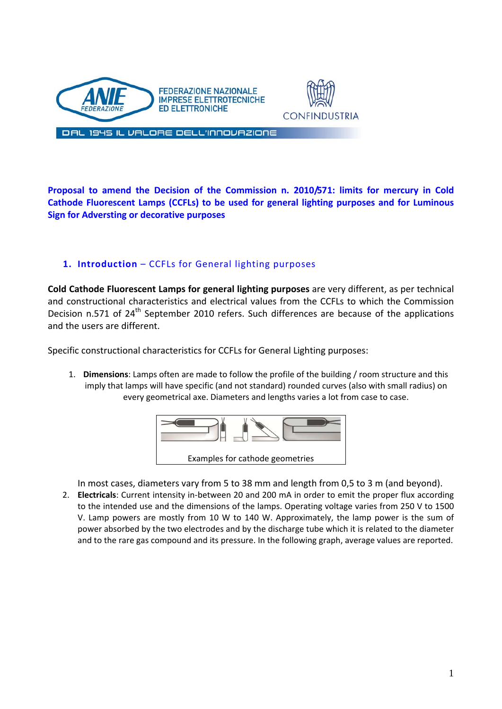



DAL 1945 IL VALORE DELL'INNOVAZIONE

**Proposal to amend the Decision of the Commission n. 2010/571: limits for mercury in Cold Cathode Fluorescent Lamps (CCFLs) to be used for general lighting purposes and for Luminous Sign for Adversting or decorative purposes**

## **1. Introduction** – CCFLs for General lighting purposes

**Cold Cathode Fluorescent Lamps for general lighting purposes** are very different, as per technical and constructional characteristics and electrical values from the CCFLs to which the Commission Decision n.571 of 24<sup>th</sup> September 2010 refers. Such differences are because of the applications and the users are different.

Specific constructional characteristics for CCFLs for General Lighting purposes:

1. **Dimensions**: Lamps often are made to follow the profile of the building / room structure and this imply that lamps will have specific (and not standard) rounded curves (also with small radius) on every geometrical axe. Diameters and lengths varies a lot from case to case.



In most cases, diameters vary from 5 to 38 mm and length from 0,5 to 3 m (and beyond).

2. **Electricals**: Current intensity in‐between 20 and 200 mA in order to emit the proper flux according to the intended use and the dimensions of the lamps. Operating voltage varies from 250 V to 1500 V. Lamp powers are mostly from 10 W to 140 W. Approximately, the lamp power is the sum of power absorbed by the two electrodes and by the discharge tube which it is related to the diameter and to the rare gas compound and its pressure. In the following graph, average values are reported.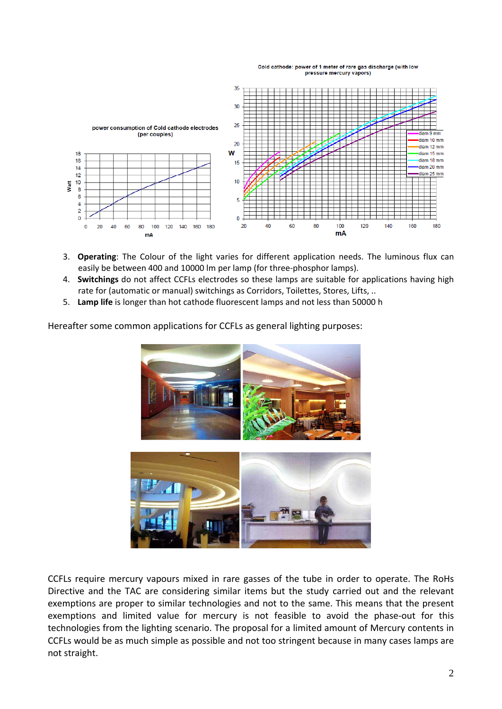#### Cold cathode: power of 1 meter of rare gas discharge (with low pressure mercury vapors)



- 3. **Operating**: The Colour of the light varies for different application needs. The luminous flux can easily be between 400 and 10000 lm per lamp (for three‐phosphor lamps).
- 4. **Switchings** do not affect CCFLs electrodes so these lamps are suitable for applications having high rate for (automatic or manual) switchings as Corridors, Toilettes, Stores, Lifts, ..
- 5. **Lamp life** is longer than hot cathode fluorescent lamps and not less than 50000 h

Hereafter some common applications for CCFLs as general lighting purposes:



CCFLs require mercury vapours mixed in rare gasses of the tube in order to operate. The RoHs Directive and the TAC are considering similar items but the study carried out and the relevant exemptions are proper to similar technologies and not to the same. This means that the present exemptions and limited value for mercury is not feasible to avoid the phase-out for this technologies from the lighting scenario. The proposal for a limited amount of Mercury contents in CCFLs would be as much simple as possible and not too stringent because in many cases lamps are not straight.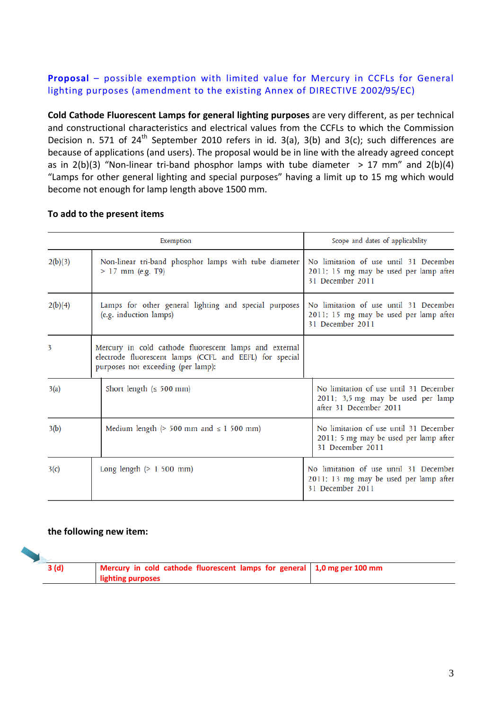# **Proposal** – possible exemption with limited value for Mercury in CCFLs for General lighting purposes (amendment to the existing Annex of DIRECTIVE 2002/95/EC)

**Cold Cathode Fluorescent Lamps for general lighting purposes** are very different, as per technical and constructional characteristics and electrical values from the CCFLs to which the Commission Decision n. 571 of 24<sup>th</sup> September 2010 refers in id. 3(a), 3(b) and 3(c); such differences are because of applications (and users). The proposal would be in line with the already agreed concept as in  $2(b)(3)$  "Non-linear tri-band phosphor lamps with tube diameter  $> 17$  mm" and  $2(b)(4)$ "Lamps for other general lighting and special purposes" having a limit up to 15 mg which would become not enough for lamp length above 1500 mm.

### **To add to the present items**

|         | Exemption                                                                                                                                               | Scope and dates of applicability                                                                      |  |  |
|---------|---------------------------------------------------------------------------------------------------------------------------------------------------------|-------------------------------------------------------------------------------------------------------|--|--|
| 2(b)(3) | Non-linear tri-band phosphor lamps with tube diameter<br>$> 17$ mm (e.g. T9)                                                                            | No limitation of use until 31 December<br>2011; 15 mg may be used per lamp after<br>31 December 2011  |  |  |
| 2(b)(4) | Lamps for other general lighting and special purposes<br>(e.g. induction lamps)                                                                         | No limitation of use until 31 December<br>2011; 15 mg may be used per lamp after<br>31 December 2011  |  |  |
| 3       | Mercury in cold cathode fluorescent lamps and external<br>electrode fluorescent lamps (CCFL and EEFL) for special<br>purposes not exceeding (per lamp): |                                                                                                       |  |  |
| 3(a)    | Short length $( \leq 500$ mm)                                                                                                                           | No limitation of use until 31 December<br>2011; 3,5 mg may be used per lamp<br>after 31 December 2011 |  |  |
| 3(b)    | Medium length ( $> 500$ mm and $\leq 1$ 500 mm)                                                                                                         | No limitation of use until 31 December<br>2011; 5 mg may be used per lamp after<br>31 December 2011   |  |  |
| 3(c)    | Long length $(> 1500$ mm)                                                                                                                               | No limitation of use until 31 December<br>2011; 13 mg may be used per lamp after<br>31 December 2011  |  |  |

### **the following new item:**

| 3 (d) | Mercury in cold cathode fluorescent lamps for general   1,0 mg per 100 mm<br>lighting purposes |  |
|-------|------------------------------------------------------------------------------------------------|--|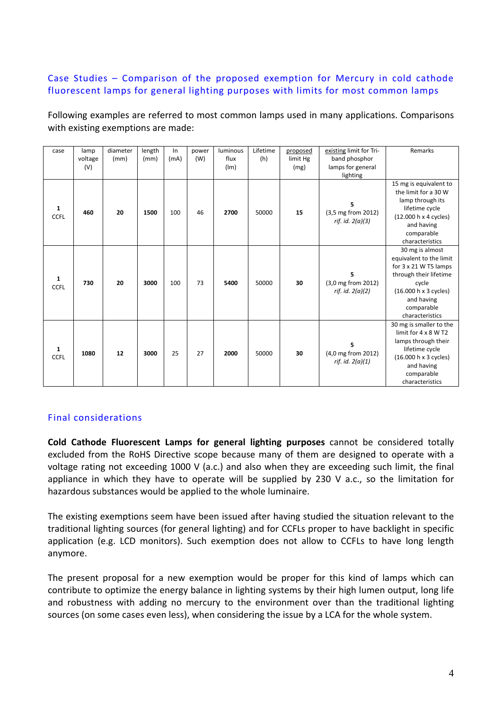# Case Studies – Comparison of the proposed exemption for Mercury in cold cathode fluorescent lamps for general lighting purposes with limits for most common lamps

Following examples are referred to most common lamps used in many applications. Comparisons with existing exemptions are made:

| case                        | lamp<br>voltage<br>(V) | diameter<br>(mm) | length<br>(mm) | In<br>(mA) | power<br>(W) | luminous<br>flux<br>(lm) | Lifetime<br>(h) | proposed<br>limit Hg<br>(mg) | existing limit for Tri-<br>band phosphor<br>lamps for general | Remarks                                                                                                                                                                        |
|-----------------------------|------------------------|------------------|----------------|------------|--------------|--------------------------|-----------------|------------------------------|---------------------------------------------------------------|--------------------------------------------------------------------------------------------------------------------------------------------------------------------------------|
| 1<br><b>CCFL</b>            | 460                    | 20               | 1500           | 100        | 46           | 2700                     | 50000           | 15                           | lighting<br>(3,5 mg from 2012)<br>rif. id. $2(a)(3)$          | 15 mg is equivalent to<br>the limit for a 30 W<br>lamp through its<br>lifetime cycle<br>(12.000 h x 4 cycles)<br>and having<br>comparable<br>characteristics                   |
| 1<br><b>CCFL</b>            | 730                    | 20               | 3000           | 100        | 73           | 5400                     | 50000           | 30                           | (3,0 mg from 2012)<br>rif. id. $2(a)(2)$                      | 30 mg is almost<br>equivalent to the limit<br>for 3 x 21 W T5 lamps<br>through their lifetime<br>cycle<br>(16.000 h x 3 cycles)<br>and having<br>comparable<br>characteristics |
| $\mathbf{1}$<br><b>CCFL</b> | 1080                   | 12               | 3000           | 25         | 27           | 2000                     | 50000           | 30                           | 5<br>(4,0 mg from 2012)<br>rif. id. $2(a)(1)$                 | 30 mg is smaller to the<br>limit for $4 \times 8$ W T2<br>lamps through their<br>lifetime cycle<br>(16.000 h x 3 cycles)<br>and having<br>comparable<br>characteristics        |

## Final considerations

**Cold Cathode Fluorescent Lamps for general lighting purposes** cannot be considered totally excluded from the RoHS Directive scope because many of them are designed to operate with a voltage rating not exceeding 1000 V (a.c.) and also when they are exceeding such limit, the final appliance in which they have to operate will be supplied by 230 V a.c., so the limitation for hazardous substances would be applied to the whole luminaire.

The existing exemptions seem have been issued after having studied the situation relevant to the traditional lighting sources (for general lighting) and for CCFLs proper to have backlight in specific application (e.g. LCD monitors). Such exemption does not allow to CCFLs to have long length anymore.

The present proposal for a new exemption would be proper for this kind of lamps which can contribute to optimize the energy balance in lighting systems by their high lumen output, long life and robustness with adding no mercury to the environment over than the traditional lighting sources (on some cases even less), when considering the issue by a LCA for the whole system.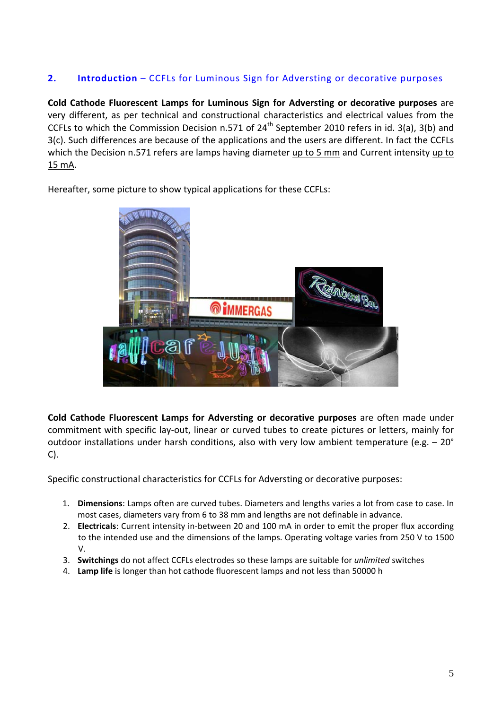# **2. Introduction** – CCFLs for Luminous Sign for Adversting or decorative purposes

**Cold Cathode Fluorescent Lamps for Luminous Sign for Adversting or decorative purposes** are very different, as per technical and constructional characteristics and electrical values from the CCFLs to which the Commission Decision n.571 of 24<sup>th</sup> September 2010 refers in id. 3(a), 3(b) and 3(c). Such differences are because of the applications and the users are different. In fact the CCFLs which the Decision n.571 refers are lamps having diameter up to 5 mm and Current intensity up to 15 mA.

Hereafter, some picture to show typical applications for these CCFLs:



**Cold Cathode Fluorescent Lamps for Adversting or decorative purposes** are often made under commitment with specific lay‐out, linear or curved tubes to create pictures or letters, mainly for outdoor installations under harsh conditions, also with very low ambient temperature (e.g. – 20° C).

Specific constructional characteristics for CCFLs for Adversting or decorative purposes:

- 1. **Dimensions**: Lamps often are curved tubes. Diameters and lengths varies a lot from case to case. In most cases, diameters vary from 6 to 38 mm and lengths are not definable in advance.
- 2. **Electricals**: Current intensity in‐between 20 and 100 mA in order to emit the proper flux according to the intended use and the dimensions of the lamps. Operating voltage varies from 250 V to 1500 V.
- 3. **Switchings** do not affect CCFLs electrodes so these lamps are suitable for *unlimited* switches
- 4. **Lamp life** is longer than hot cathode fluorescent lamps and not less than 50000 h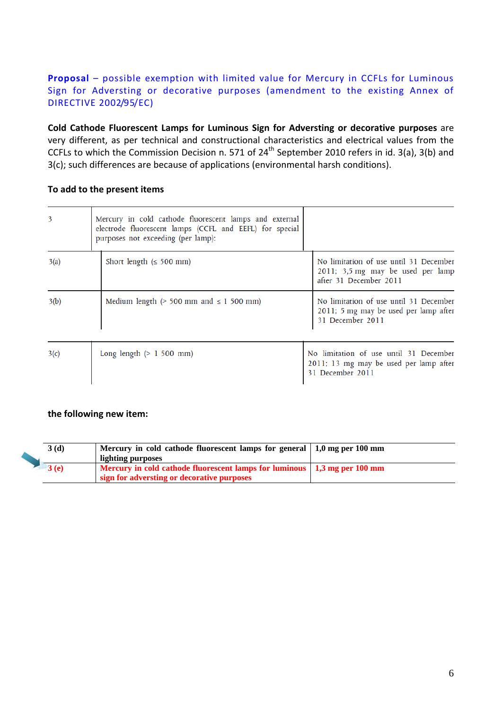# **Proposal** – possible exemption with limited value for Mercury in CCFLs for Luminous Sign for Adversting or decorative purposes (amendment to the existing Annex of DIRECTIVE 2002/95/EC)

**Cold Cathode Fluorescent Lamps for Luminous Sign for Adversting or decorative purposes** are very different, as per technical and constructional characteristics and electrical values from the CCFLs to which the Commission Decision n. 571 of  $24<sup>th</sup>$  September 2010 refers in id. 3(a), 3(b) and 3(c); such differences are because of applications (environmental harsh conditions).

## **To add to the present items**

| 3    | Mercury in cold cathode fluorescent lamps and external<br>electrode fluorescent lamps (CCFL and EEFL) for special<br>purposes not exceeding (per lamp): |                                                                                                       |  |  |
|------|---------------------------------------------------------------------------------------------------------------------------------------------------------|-------------------------------------------------------------------------------------------------------|--|--|
| 3(a) | Short length $( \leq 500 \text{ mm})$                                                                                                                   | No limitation of use until 31 December<br>2011; 3,5 mg may be used per lamp<br>after 31 December 2011 |  |  |
| 3(b) | Medium length $($ > 500 mm and $\leq$ 1 500 mm)                                                                                                         | No limitation of use until 31 December<br>2011; 5 mg may be used per lamp after<br>31 December 2011   |  |  |
| 3(c) | Long length $(> 1, 500, \text{mm})$                                                                                                                     | No limitation of use until 31 December<br>2011; 13 mg may be used per lamp after<br>31 December 2011  |  |  |

### **the following new item:**

| 3(d)    | Mercury in cold cathode fluorescent lamps for general $\vert 1,0 \text{ mg}$ per 100 mm<br>lighting purposes |  |
|---------|--------------------------------------------------------------------------------------------------------------|--|
| $-3(e)$ | Mercury in cold cathode fluorescent lamps for luminous   1,3 mg per 100 mm                                   |  |
|         | sign for adversting or decorative purposes                                                                   |  |